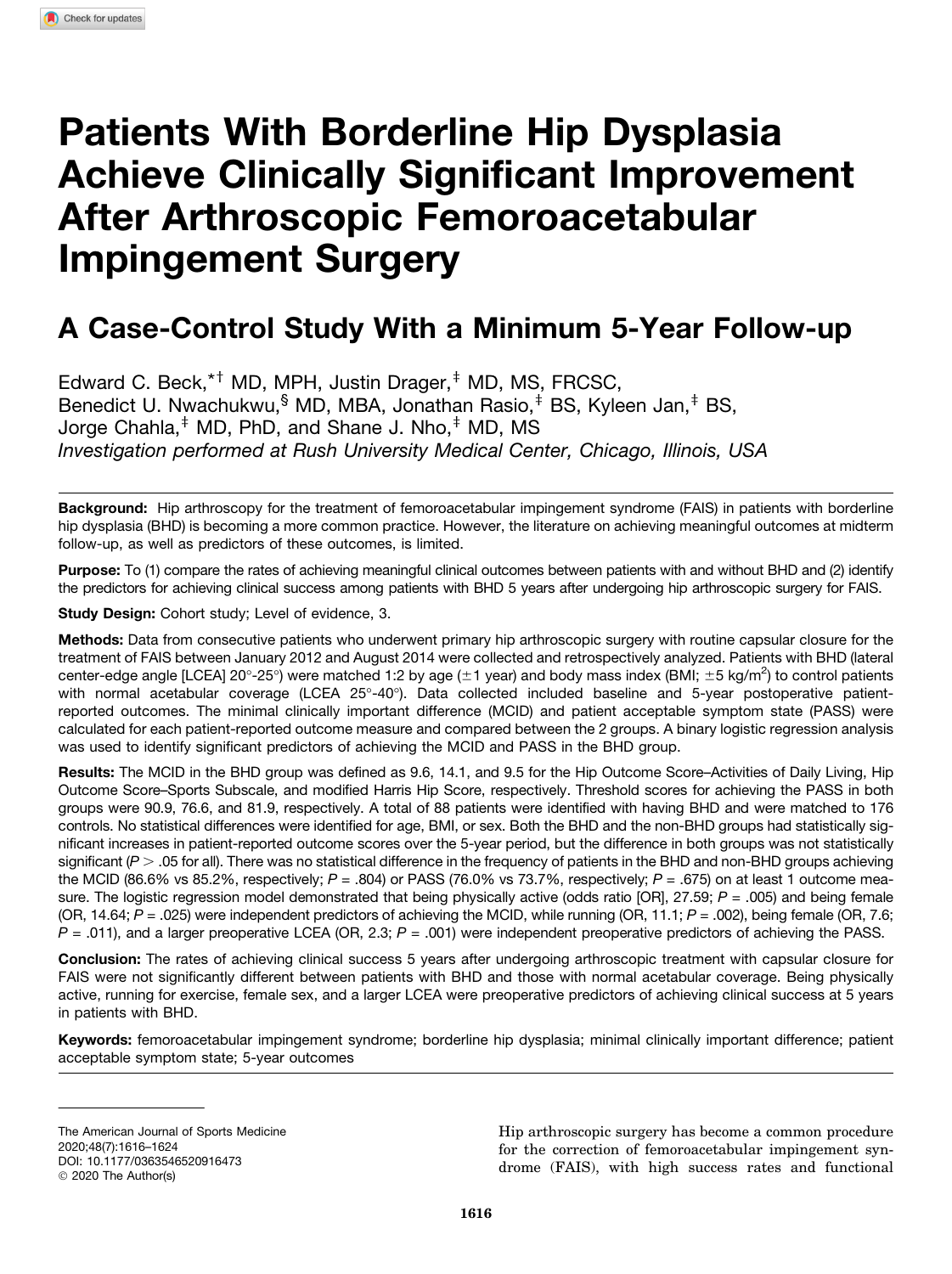# Patients With Borderline Hip Dysplasia Achieve Clinically Significant Improvement After Arthroscopic Femoroacetabular Impingement Surgery

# A Case-Control Study With a Minimum 5-Year Follow-up

Edward C. Beck,<sup>\*†</sup> MD, MPH, Justin Drager,<sup>‡</sup> MD, MS, FRCSC, Benedict U. Nwachukwu,  $\frac{1}{2}$  MD, MBA, Jonathan Rasio,  $\pm$  BS, Kyleen Jan,  $\pm$  BS, Jorge Chahla, $^{\ddagger}$  MD, PhD, and Shane J. Nho, $^{\ddagger}$  MD, MS *Investigation performed at Rush University Medical Center, Chicago, Illinois, USA*

Background: Hip arthroscopy for the treatment of femoroacetabular impingement syndrome (FAIS) in patients with borderline hip dysplasia (BHD) is becoming a more common practice. However, the literature on achieving meaningful outcomes at midterm follow-up, as well as predictors of these outcomes, is limited.

Purpose: To (1) compare the rates of achieving meaningful clinical outcomes between patients with and without BHD and (2) identify the predictors for achieving clinical success among patients with BHD 5 years after undergoing hip arthroscopic surgery for FAIS.

Study Design: Cohort study; Level of evidence, 3.

Methods: Data from consecutive patients who underwent primary hip arthroscopic surgery with routine capsular closure for the treatment of FAIS between January 2012 and August 2014 were collected and retrospectively analyzed. Patients with BHD (lateral center-edge angle [LCEA] 20°-25°) were matched 1:2 by age ( $\pm$ 1 year) and body mass index (BMI;  $\pm$ 5 kg/m<sup>2</sup>) to control patients with normal acetabular coverage (LCEA 25°-40°). Data collected included baseline and 5-year postoperative patientreported outcomes. The minimal clinically important difference (MCID) and patient acceptable symptom state (PASS) were calculated for each patient-reported outcome measure and compared between the 2 groups. A binary logistic regression analysis was used to identify significant predictors of achieving the MCID and PASS in the BHD group.

Results: The MCID in the BHD group was defined as 9.6, 14.1, and 9.5 for the Hip Outcome Score–Activities of Daily Living, Hip Outcome Score–Sports Subscale, and modified Harris Hip Score, respectively. Threshold scores for achieving the PASS in both groups were 90.9, 76.6, and 81.9, respectively. A total of 88 patients were identified with having BHD and were matched to 176 controls. No statistical differences were identified for age, BMI, or sex. Both the BHD and the non-BHD groups had statistically significant increases in patient-reported outcome scores over the 5-year period, but the difference in both groups was not statistically significant (*P* > .05 for all). There was no statistical difference in the frequency of patients in the BHD and non-BHD groups achieving the MCID (86.6% vs 85.2%, respectively; *P* = .804) or PASS (76.0% vs 73.7%, respectively; *P* = .675) on at least 1 outcome measure. The logistic regression model demonstrated that being physically active (odds ratio [OR], 27.59; *P* = .005) and being female (OR, 14.64; *P* = .025) were independent predictors of achieving the MCID, while running (OR, 11.1; *P* = .002), being female (OR, 7.6; *P* = .011), and a larger preoperative LCEA (OR, 2.3; *P* = .001) were independent preoperative predictors of achieving the PASS.

Conclusion: The rates of achieving clinical success 5 years after undergoing arthroscopic treatment with capsular closure for FAIS were not significantly different between patients with BHD and those with normal acetabular coverage. Being physically active, running for exercise, female sex, and a larger LCEA were preoperative predictors of achieving clinical success at 5 years in patients with BHD.

Keywords: femoroacetabular impingement syndrome; borderline hip dysplasia; minimal clinically important difference; patient acceptable symptom state; 5-year outcomes

The American Journal of Sports Medicine 2020;48(7):1616–1624 DOI: 10.1177/0363546520916473 2020 The Author(s)

Hip arthroscopic surgery has become a common procedure for the correction of femoroacetabular impingement syndrome (FAIS), with high success rates and functional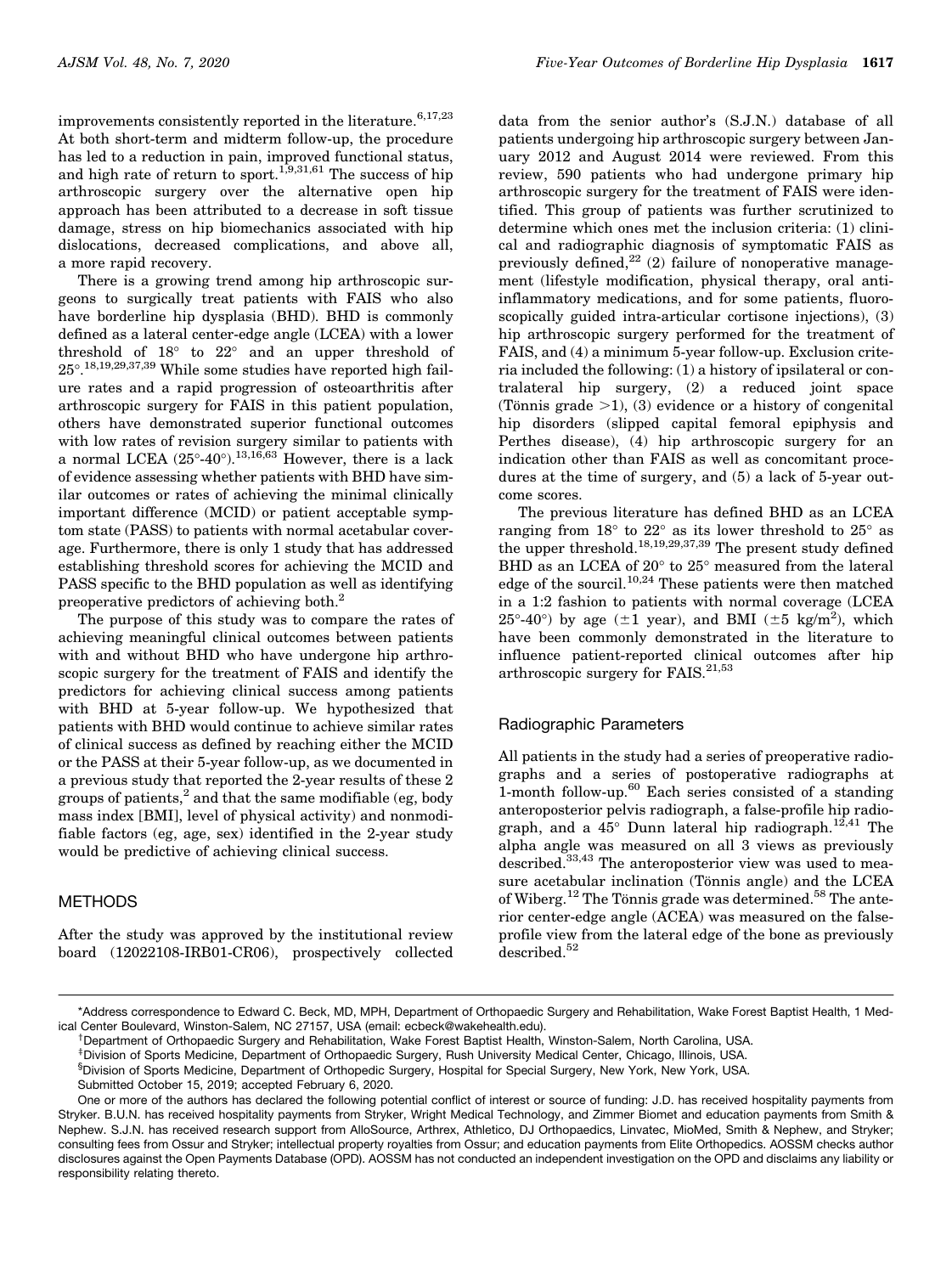improvements consistently reported in the literature.  $6,17,23$ At both short-term and midterm follow-up, the procedure has led to a reduction in pain, improved functional status, and high rate of return to sport.<sup>1,9,31,61</sup> The success of hip arthroscopic surgery over the alternative open hip approach has been attributed to a decrease in soft tissue damage, stress on hip biomechanics associated with hip dislocations, decreased complications, and above all, a more rapid recovery.

There is a growing trend among hip arthroscopic surgeons to surgically treat patients with FAIS who also have borderline hip dysplasia (BHD). BHD is commonly defined as a lateral center-edge angle (LCEA) with a lower threshold of  $18^{\circ}$  to  $22^{\circ}$  and an upper threshold of 25°.<sup>18,19,29,37,39</sup> While some studies have reported high failure rates and a rapid progression of osteoarthritis after arthroscopic surgery for FAIS in this patient population, others have demonstrated superior functional outcomes with low rates of revision surgery similar to patients with a normal LCEA  $(25^{\circ} - 40^{\circ})$ .<sup>13,16,63</sup> However, there is a lack of evidence assessing whether patients with BHD have similar outcomes or rates of achieving the minimal clinically important difference (MCID) or patient acceptable symptom state (PASS) to patients with normal acetabular coverage. Furthermore, there is only 1 study that has addressed establishing threshold scores for achieving the MCID and PASS specific to the BHD population as well as identifying preoperative predictors of achieving both.2

The purpose of this study was to compare the rates of achieving meaningful clinical outcomes between patients with and without BHD who have undergone hip arthroscopic surgery for the treatment of FAIS and identify the predictors for achieving clinical success among patients with BHD at 5-year follow-up. We hypothesized that patients with BHD would continue to achieve similar rates of clinical success as defined by reaching either the MCID or the PASS at their 5-year follow-up, as we documented in a previous study that reported the 2-year results of these 2 groups of patients,<sup>2</sup> and that the same modifiable (eg, body mass index [BMI], level of physical activity) and nonmodifiable factors (eg, age, sex) identified in the 2-year study would be predictive of achieving clinical success.

# METHODS

After the study was approved by the institutional review board (12022108-IRB01-CR06), prospectively collected data from the senior author's (S.J.N.) database of all patients undergoing hip arthroscopic surgery between January 2012 and August 2014 were reviewed. From this review, 590 patients who had undergone primary hip arthroscopic surgery for the treatment of FAIS were identified. This group of patients was further scrutinized to determine which ones met the inclusion criteria: (1) clinical and radiographic diagnosis of symptomatic FAIS as previously defined,<sup>22</sup> (2) failure of nonoperative management (lifestyle modification, physical therapy, oral antiinflammatory medications, and for some patients, fluoroscopically guided intra-articular cortisone injections), (3) hip arthroscopic surgery performed for the treatment of FAIS, and (4) a minimum 5-year follow-up. Exclusion criteria included the following: (1) a history of ipsilateral or contralateral hip surgery, (2) a reduced joint space (Tönnis grade  $>1$ ), (3) evidence or a history of congenital hip disorders (slipped capital femoral epiphysis and Perthes disease), (4) hip arthroscopic surgery for an indication other than FAIS as well as concomitant procedures at the time of surgery, and (5) a lack of 5-year outcome scores.

The previous literature has defined BHD as an LCEA ranging from  $18^{\circ}$  to  $22^{\circ}$  as its lower threshold to  $25^{\circ}$  as the upper threshold.<sup>18,19,29,37,39</sup> The present study defined BHD as an LCEA of  $20^{\circ}$  to  $25^{\circ}$  measured from the lateral edge of the sourcil.<sup>10,24</sup> These patients were then matched in a 1:2 fashion to patients with normal coverage (LCEA  $25^{\circ}$ -40°) by age ( $\pm 1$  year), and BMI ( $\pm 5$  kg/m<sup>2</sup>), which have been commonly demonstrated in the literature to influence patient-reported clinical outcomes after hip arthroscopic surgery for FAIS. $21,53$ 

# Radiographic Parameters

All patients in the study had a series of preoperative radiographs and a series of postoperative radiographs at 1-month follow-up.<sup>60</sup> Each series consisted of a standing anteroposterior pelvis radiograph, a false-profile hip radiograph, and a 45° Dunn lateral hip radiograph.<sup>12,41</sup> The alpha angle was measured on all 3 views as previously described.<sup>33,43</sup> The anteroposterior view was used to measure acetabular inclination (Tönnis angle) and the LCEA of Wiberg.<sup>12</sup> The Tönnis grade was determined.<sup>58</sup> The anterior center-edge angle (ACEA) was measured on the falseprofile view from the lateral edge of the bone as previously described.<sup>52</sup>

<sup>†</sup>Department of Orthopaedic Surgery and Rehabilitation, Wake Forest Baptist Health, Winston-Salem, North Carolina, USA.

<sup>\*</sup>Address correspondence to Edward C. Beck, MD, MPH, Department of Orthopaedic Surgery and Rehabilitation, Wake Forest Baptist Health, 1 Medical Center Boulevard, Winston-Salem, NC 27157, USA (email: ecbeck@wakehealth.edu).

z Division of Sports Medicine, Department of Orthopaedic Surgery, Rush University Medical Center, Chicago, Illinois, USA.

<sup>§</sup> Division of Sports Medicine, Department of Orthopedic Surgery, Hospital for Special Surgery, New York, New York, USA.

Submitted October 15, 2019; accepted February 6, 2020.

One or more of the authors has declared the following potential conflict of interest or source of funding: J.D. has received hospitality payments from Stryker. B.U.N. has received hospitality payments from Stryker, Wright Medical Technology, and Zimmer Biomet and education payments from Smith & Nephew. S.J.N. has received research support from AlloSource, Arthrex, Athletico, DJ Orthopaedics, Linvatec, MioMed, Smith & Nephew, and Stryker; consulting fees from Ossur and Stryker; intellectual property royalties from Ossur; and education payments from Elite Orthopedics. AOSSM checks author disclosures against the Open Payments Database (OPD). AOSSM has not conducted an independent investigation on the OPD and disclaims any liability or responsibility relating thereto.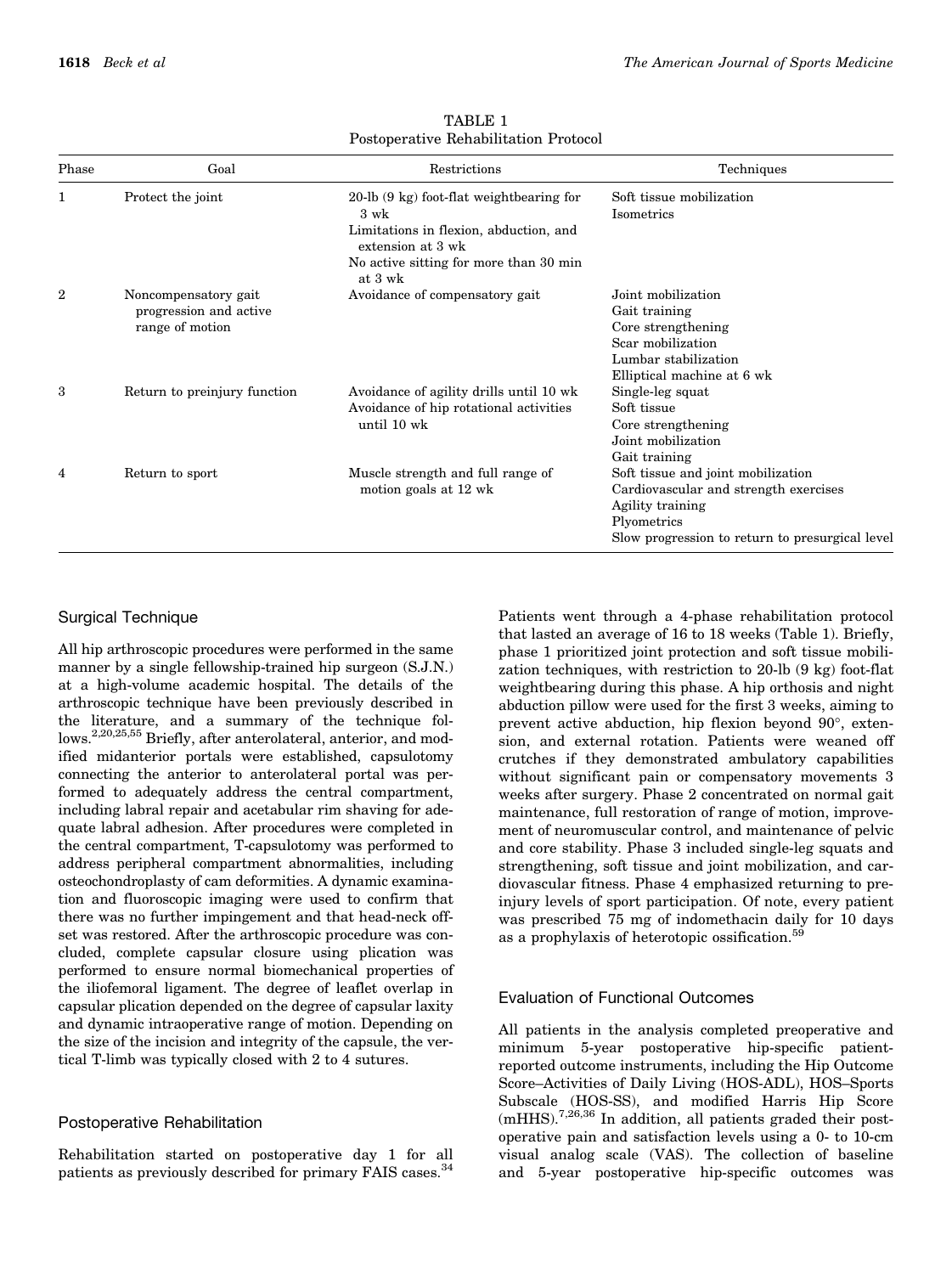| Phase          | Goal                                                              | Restrictions                                                                                                                                                                                 | Techniques                                                                                                                                                        |
|----------------|-------------------------------------------------------------------|----------------------------------------------------------------------------------------------------------------------------------------------------------------------------------------------|-------------------------------------------------------------------------------------------------------------------------------------------------------------------|
| 1              | Protect the joint                                                 | $20$ -lb $(9 \text{ kg})$ foot-flat weight bearing for<br>$3 \text{ wk}$<br>Limitations in flexion, abduction, and<br>extension at 3 wk<br>No active sitting for more than 30 min<br>at 3 wk | Soft tissue mobilization<br>Isometrics                                                                                                                            |
| $\overline{2}$ | Noncompensatory gait<br>progression and active<br>range of motion | Avoidance of compensatory gait                                                                                                                                                               | Joint mobilization<br>Gait training<br>Core strengthening<br>Scar mobilization<br>Lumbar stabilization<br>Elliptical machine at 6 wk                              |
| 3              | Return to preinjury function                                      | Avoidance of agility drills until 10 wk<br>Avoidance of hip rotational activities<br>until 10 wk                                                                                             | Single-leg squat<br>Soft tissue<br>Core strengthening<br>Joint mobilization<br>Gait training                                                                      |
| $\overline{4}$ | Return to sport                                                   | Muscle strength and full range of<br>motion goals at 12 wk                                                                                                                                   | Soft tissue and joint mobilization<br>Cardiovascular and strength exercises<br>Agility training<br>Plyometrics<br>Slow progression to return to presurgical level |

## TABLE 1 Postoperative Rehabilitation Protocol

# Surgical Technique

All hip arthroscopic procedures were performed in the same manner by a single fellowship-trained hip surgeon (S.J.N.) at a high-volume academic hospital. The details of the arthroscopic technique have been previously described in the literature, and a summary of the technique follows.<sup>2,20,25,55</sup> Briefly, after anterolateral, anterior, and modified midanterior portals were established, capsulotomy connecting the anterior to anterolateral portal was performed to adequately address the central compartment, including labral repair and acetabular rim shaving for adequate labral adhesion. After procedures were completed in the central compartment, T-capsulotomy was performed to address peripheral compartment abnormalities, including osteochondroplasty of cam deformities. A dynamic examination and fluoroscopic imaging were used to confirm that there was no further impingement and that head-neck offset was restored. After the arthroscopic procedure was concluded, complete capsular closure using plication was performed to ensure normal biomechanical properties of the iliofemoral ligament. The degree of leaflet overlap in capsular plication depended on the degree of capsular laxity and dynamic intraoperative range of motion. Depending on the size of the incision and integrity of the capsule, the vertical T-limb was typically closed with 2 to 4 sutures.

# Postoperative Rehabilitation

Rehabilitation started on postoperative day 1 for all patients as previously described for primary FAIS cases.<sup>34</sup> Patients went through a 4-phase rehabilitation protocol that lasted an average of 16 to 18 weeks (Table 1). Briefly, phase 1 prioritized joint protection and soft tissue mobilization techniques, with restriction to 20-lb (9 kg) foot-flat weightbearing during this phase. A hip orthosis and night abduction pillow were used for the first 3 weeks, aiming to prevent active abduction, hip flexion beyond 90°, extension, and external rotation. Patients were weaned off crutches if they demonstrated ambulatory capabilities without significant pain or compensatory movements 3 weeks after surgery. Phase 2 concentrated on normal gait maintenance, full restoration of range of motion, improvement of neuromuscular control, and maintenance of pelvic and core stability. Phase 3 included single-leg squats and strengthening, soft tissue and joint mobilization, and cardiovascular fitness. Phase 4 emphasized returning to preinjury levels of sport participation. Of note, every patient was prescribed 75 mg of indomethacin daily for 10 days as a prophylaxis of heterotopic ossification.<sup>59</sup>

# Evaluation of Functional Outcomes

All patients in the analysis completed preoperative and minimum 5-year postoperative hip-specific patientreported outcome instruments, including the Hip Outcome Score–Activities of Daily Living (HOS-ADL), HOS–Sports Subscale (HOS-SS), and modified Harris Hip Score (mHHS).7,26,36 In addition, all patients graded their postoperative pain and satisfaction levels using a 0- to 10-cm visual analog scale (VAS). The collection of baseline and 5-year postoperative hip-specific outcomes was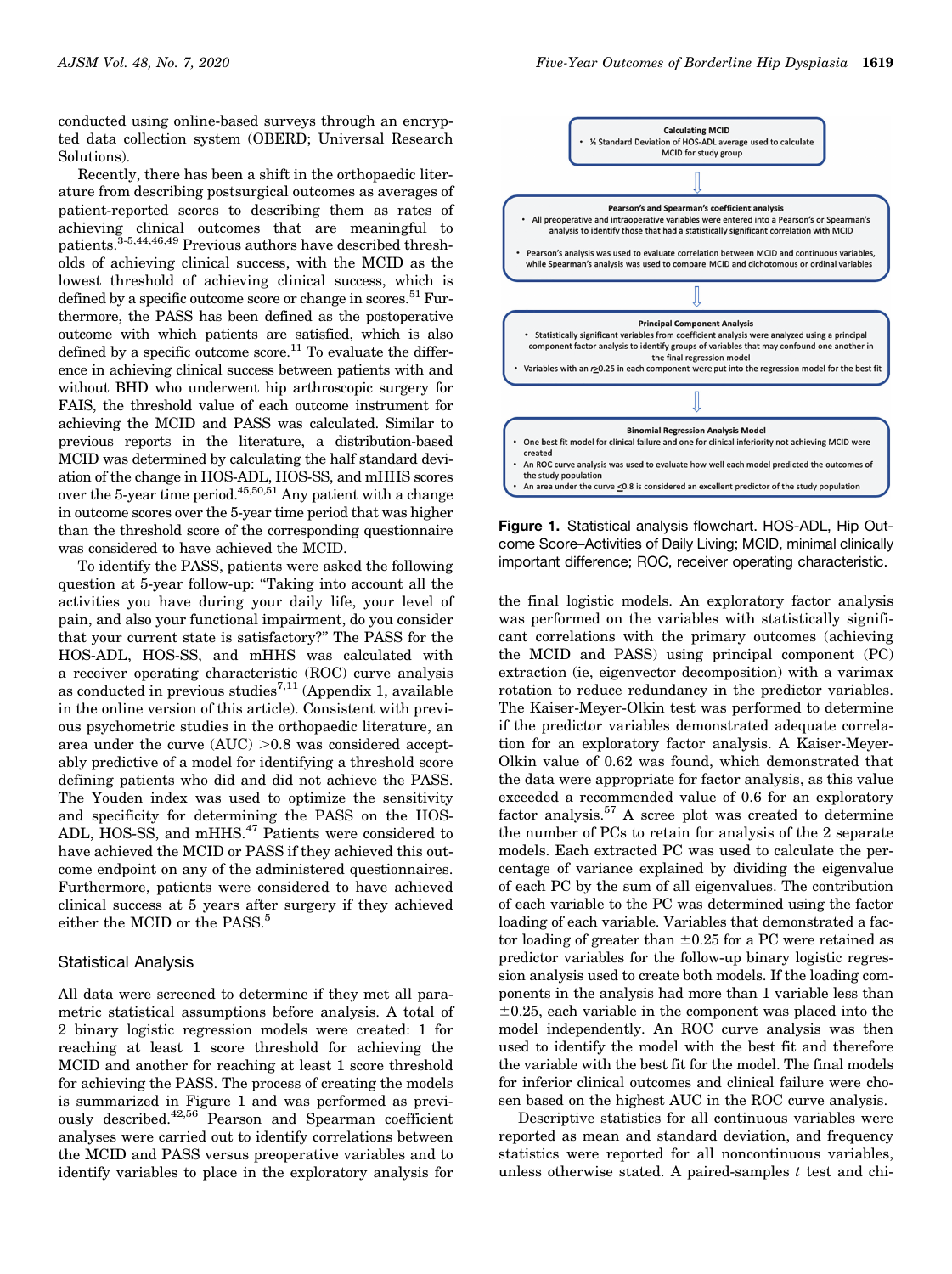conducted using online-based surveys through an encrypted data collection system (OBERD; Universal Research Solutions).

Recently, there has been a shift in the orthopaedic literature from describing postsurgical outcomes as averages of patient-reported scores to describing them as rates of achieving clinical outcomes that are meaningful to patients.<sup>3-5,44,46,49</sup> Previous authors have described thresholds of achieving clinical success, with the MCID as the lowest threshold of achieving clinical success, which is defined by a specific outcome score or change in scores.<sup>51</sup> Furthermore, the PASS has been defined as the postoperative outcome with which patients are satisfied, which is also defined by a specific outcome score.<sup>11</sup> To evaluate the difference in achieving clinical success between patients with and without BHD who underwent hip arthroscopic surgery for FAIS, the threshold value of each outcome instrument for achieving the MCID and PASS was calculated. Similar to previous reports in the literature, a distribution-based MCID was determined by calculating the half standard deviation of the change in HOS-ADL, HOS-SS, and mHHS scores over the 5-year time period.<sup>45,50,51</sup> Any patient with a change in outcome scores over the 5-year time period that was higher than the threshold score of the corresponding questionnaire was considered to have achieved the MCID.

To identify the PASS, patients were asked the following question at 5-year follow-up: ''Taking into account all the activities you have during your daily life, your level of pain, and also your functional impairment, do you consider that your current state is satisfactory?'' The PASS for the HOS-ADL, HOS-SS, and mHHS was calculated with a receiver operating characteristic (ROC) curve analysis as conducted in previous studies<sup>7,11</sup> (Appendix 1, available in the online version of this article). Consistent with previous psychometric studies in the orthopaedic literature, an area under the curve  $(AUC) > 0.8$  was considered acceptably predictive of a model for identifying a threshold score defining patients who did and did not achieve the PASS. The Youden index was used to optimize the sensitivity and specificity for determining the PASS on the HOS-ADL, HOS-SS, and mHHS.<sup>47</sup> Patients were considered to have achieved the MCID or PASS if they achieved this outcome endpoint on any of the administered questionnaires. Furthermore, patients were considered to have achieved clinical success at 5 years after surgery if they achieved either the MCID or the PASS.<sup>5</sup>

#### Statistical Analysis

All data were screened to determine if they met all parametric statistical assumptions before analysis. A total of 2 binary logistic regression models were created: 1 for reaching at least 1 score threshold for achieving the MCID and another for reaching at least 1 score threshold for achieving the PASS. The process of creating the models is summarized in Figure 1 and was performed as previously described.42,56 Pearson and Spearman coefficient analyses were carried out to identify correlations between the MCID and PASS versus preoperative variables and to identify variables to place in the exploratory analysis for



Figure 1. Statistical analysis flowchart. HOS-ADL, Hip Outcome Score–Activities of Daily Living; MCID, minimal clinically important difference; ROC, receiver operating characteristic.

the final logistic models. An exploratory factor analysis was performed on the variables with statistically significant correlations with the primary outcomes (achieving the MCID and PASS) using principal component (PC) extraction (ie, eigenvector decomposition) with a varimax rotation to reduce redundancy in the predictor variables. The Kaiser-Meyer-Olkin test was performed to determine if the predictor variables demonstrated adequate correlation for an exploratory factor analysis. A Kaiser-Meyer-Olkin value of 0.62 was found, which demonstrated that the data were appropriate for factor analysis, as this value exceeded a recommended value of 0.6 for an exploratory factor analysis.<sup>57</sup> A scree plot was created to determine the number of PCs to retain for analysis of the 2 separate models. Each extracted PC was used to calculate the percentage of variance explained by dividing the eigenvalue of each PC by the sum of all eigenvalues. The contribution of each variable to the PC was determined using the factor loading of each variable. Variables that demonstrated a factor loading of greater than  $\pm 0.25$  for a PC were retained as predictor variables for the follow-up binary logistic regression analysis used to create both models. If the loading components in the analysis had more than 1 variable less than  $\pm 0.25$ , each variable in the component was placed into the model independently. An ROC curve analysis was then used to identify the model with the best fit and therefore the variable with the best fit for the model. The final models for inferior clinical outcomes and clinical failure were chosen based on the highest AUC in the ROC curve analysis.

Descriptive statistics for all continuous variables were reported as mean and standard deviation, and frequency statistics were reported for all noncontinuous variables, unless otherwise stated. A paired-samples  $t$  test and chi-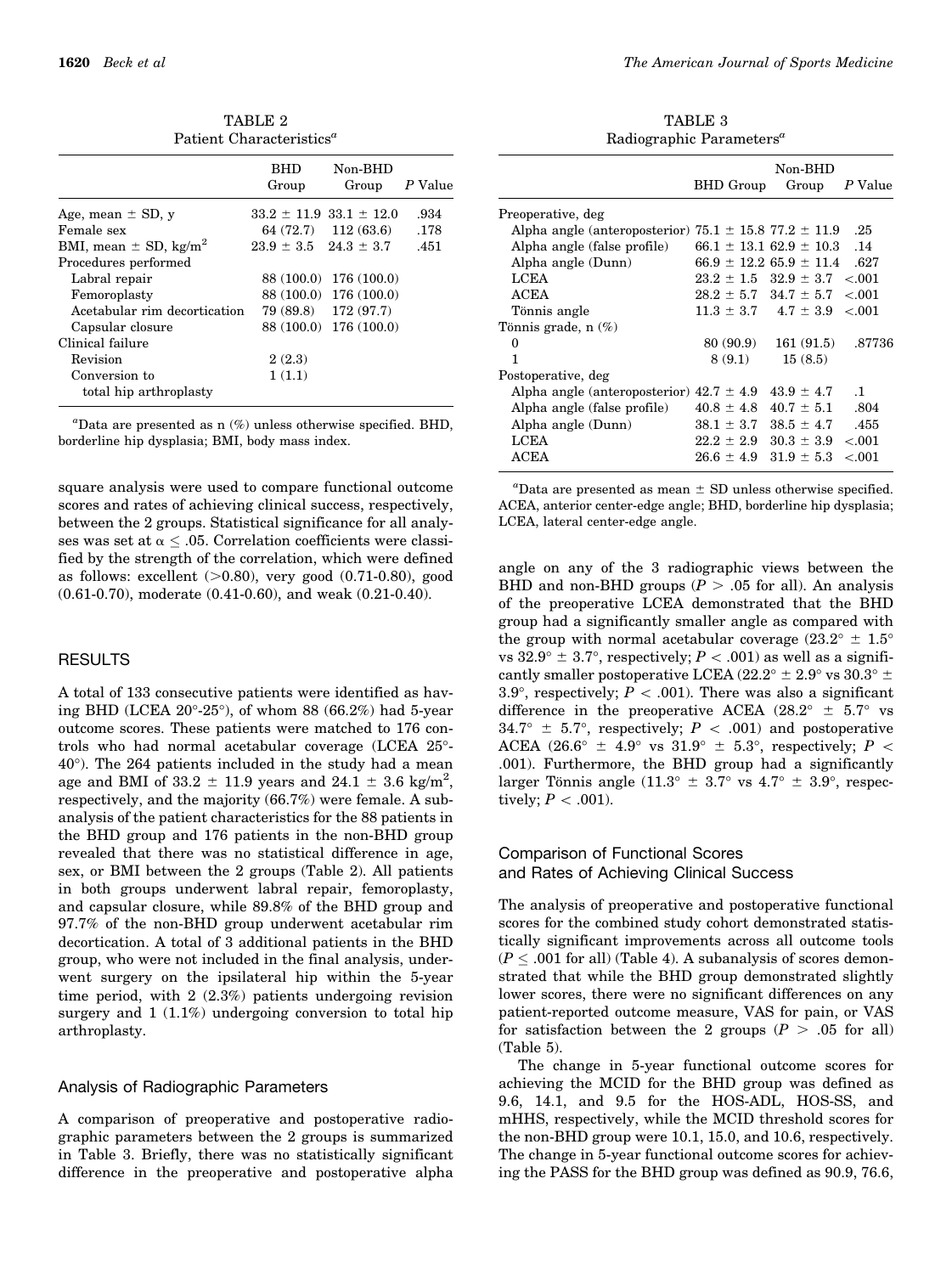| TABLE 3                              |
|--------------------------------------|
| Radiographic Parameters <sup>a</sup> |

| Patient Characteristics <sup>a</sup>    |              |                                 |         |  |
|-----------------------------------------|--------------|---------------------------------|---------|--|
|                                         | BHD<br>Group | Non-BHD<br>Group                | P Value |  |
| Age, mean ± SD, y                       |              | $33.2 \pm 11.9$ $33.1 \pm 12.0$ | .934    |  |
| Female sex                              |              | $64(72.7)$ 112 $(63.6)$         | .178    |  |
| BMI, mean $\pm$ SD, kg/m <sup>2</sup>   |              | $23.9 \pm 3.5$ $24.3 \pm 3.7$   | .451    |  |
| Procedures performed                    |              |                                 |         |  |
| Labral repair                           |              | 88 (100.0) 176 (100.0)          |         |  |
| Femoroplasty                            |              | 88 (100.0) 176 (100.0)          |         |  |
| Acetabular rim decortication            |              | 79 (89.8) 172 (97.7)            |         |  |
| Capsular closure                        |              | 88 (100.0) 176 (100.0)          |         |  |
| Clinical failure                        |              |                                 |         |  |
| Revision                                | 2(2.3)       |                                 |         |  |
| Conversion to<br>total hip arthroplasty | 1(1.1)       |                                 |         |  |
|                                         |              |                                 |         |  |

TABLE 2

 ${}^a$ Data are presented as n  $(\%)$  unless otherwise specified. BHD, borderline hip dysplasia; BMI, body mass index.

square analysis were used to compare functional outcome scores and rates of achieving clinical success, respectively, between the 2 groups. Statistical significance for all analyses was set at  $\alpha \leq .05.$  Correlation coefficients were classified by the strength of the correlation, which were defined as follows: excellent  $(>0.80)$ , very good  $(0.71-0.80)$ , good (0.61-0.70), moderate (0.41-0.60), and weak (0.21-0.40).

#### RESULTS

A total of 133 consecutive patients were identified as having BHD (LCEA 20°-25°), of whom 88 (66.2%) had 5-year outcome scores. These patients were matched to 176 controls who had normal acetabular coverage (LCEA 25--  $40^{\circ}$ ). The 264 patients included in the study had a mean age and BMI of 33.2  $\pm$  11.9 years and 24.1  $\pm$  3.6 kg/m<sup>2</sup>, respectively, and the majority (66.7%) were female. A subanalysis of the patient characteristics for the 88 patients in the BHD group and 176 patients in the non-BHD group revealed that there was no statistical difference in age, sex, or BMI between the 2 groups (Table 2). All patients in both groups underwent labral repair, femoroplasty, and capsular closure, while 89.8% of the BHD group and 97.7% of the non-BHD group underwent acetabular rim decortication. A total of 3 additional patients in the BHD group, who were not included in the final analysis, underwent surgery on the ipsilateral hip within the 5-year time period, with 2 (2.3%) patients undergoing revision surgery and 1 (1.1%) undergoing conversion to total hip arthroplasty.

#### Analysis of Radiographic Parameters

A comparison of preoperative and postoperative radiographic parameters between the 2 groups is summarized in Table 3. Briefly, there was no statistically significant difference in the preoperative and postoperative alpha

|                                                               |                               | Non-BHD                             |           |
|---------------------------------------------------------------|-------------------------------|-------------------------------------|-----------|
|                                                               | BHD Group                     | Group                               | P Value   |
| Preoperative, deg                                             |                               |                                     |           |
| Alpha angle (anteroposterior) $75.1 \pm 15.8$ $77.2 \pm 11.9$ |                               |                                     | .25       |
| Alpha angle (false profile)                                   |                               | $66.1 \pm 13.1$ $62.9 \pm 10.3$     | .14       |
| Alpha angle (Dunn)                                            |                               | $66.9 \pm 12.2$ 65.9 $\pm$ 11.4     | .627      |
| <b>LCEA</b>                                                   |                               | $23.2 \pm 1.5$ $32.9 \pm 3.7$ <.001 |           |
| ACEA                                                          | $28.2 \pm 5.7$ 34.7 $\pm 5.7$ |                                     | < 0.001   |
| Tönnis angle                                                  |                               | $11.3 \pm 3.7 \quad 4.7 \pm 3.9$    | < 0.001   |
| Tönnis grade, n (%)                                           |                               |                                     |           |
| 0                                                             | 80 (90.9)                     | 161(91.5)                           | .87736    |
| 1                                                             | 8 (9.1)                       | 15(8.5)                             |           |
| Postoperative, deg                                            |                               |                                     |           |
| Alpha angle (anteroposterior) $42.7 \pm 4.9$                  |                               | $43.9 \pm 4.7$                      | $\cdot$ 1 |
| Alpha angle (false profile)                                   | $40.8 \pm 4.8$                | $40.7 \pm 5.1$                      | .804      |
| Alpha angle (Dunn)                                            | $38.1 \pm 3.7$                | $38.5 \pm 4.7$                      | .455      |
| <b>LCEA</b>                                                   | $22.2 \pm 2.9$                | $30.3 \pm 3.9$                      | < 0.001   |
| <b>ACEA</b>                                                   | $26.6 \pm 4.9$                | $31.9 \pm 5.3$                      | $-.001$   |
|                                                               |                               |                                     |           |

"Data are presented as mean  $\pm$  SD unless otherwise specified. ACEA, anterior center-edge angle; BHD, borderline hip dysplasia; LCEA, lateral center-edge angle.

angle on any of the 3 radiographic views between the BHD and non-BHD groups ( $P > .05$  for all). An analysis of the preoperative LCEA demonstrated that the BHD group had a significantly smaller angle as compared with the group with normal acetabular coverage  $(23.2^{\circ} \pm 1.5^{\circ})$ vs  $32.9^{\circ} \pm 3.7^{\circ}$ , respectively;  $P < .001$ ) as well as a significantly smaller postoperative LCEA (22.2°  $\pm$  2.9° vs 30.3°  $\pm$ 3.9°, respectively;  $P < .001$ ). There was also a significant difference in the preoperative ACEA  $(28.2^{\circ} \pm 5.7^{\circ} \text{ vs } 10^{-1} \text{ m})$  $34.7^{\circ} \pm 5.7^{\circ}$ , respectively;  $P < .001$ ) and postoperative ACEA (26.6 $\degree$   $\pm$  4.9 $\degree$  vs 31.9 $\degree$   $\pm$  5.3 $\degree$ , respectively; P  $\lt$ .001). Furthermore, the BHD group had a significantly larger Tönnis angle  $(11.3^{\circ} \pm 3.7^{\circ} \text{ vs } 4.7^{\circ} \pm 3.9^{\circ} \text{, respectively})$ tively;  $P < .001$ ).

### Comparison of Functional Scores and Rates of Achieving Clinical Success

The analysis of preoperative and postoperative functional scores for the combined study cohort demonstrated statistically significant improvements across all outcome tools  $(P \leq .001$  for all) (Table 4). A subanalysis of scores demonstrated that while the BHD group demonstrated slightly lower scores, there were no significant differences on any patient-reported outcome measure, VAS for pain, or VAS for satisfaction between the 2 groups ( $P > .05$  for all) (Table 5).

The change in 5-year functional outcome scores for achieving the MCID for the BHD group was defined as 9.6, 14.1, and 9.5 for the HOS-ADL, HOS-SS, and mHHS, respectively, while the MCID threshold scores for the non-BHD group were 10.1, 15.0, and 10.6, respectively. The change in 5-year functional outcome scores for achieving the PASS for the BHD group was defined as 90.9, 76.6,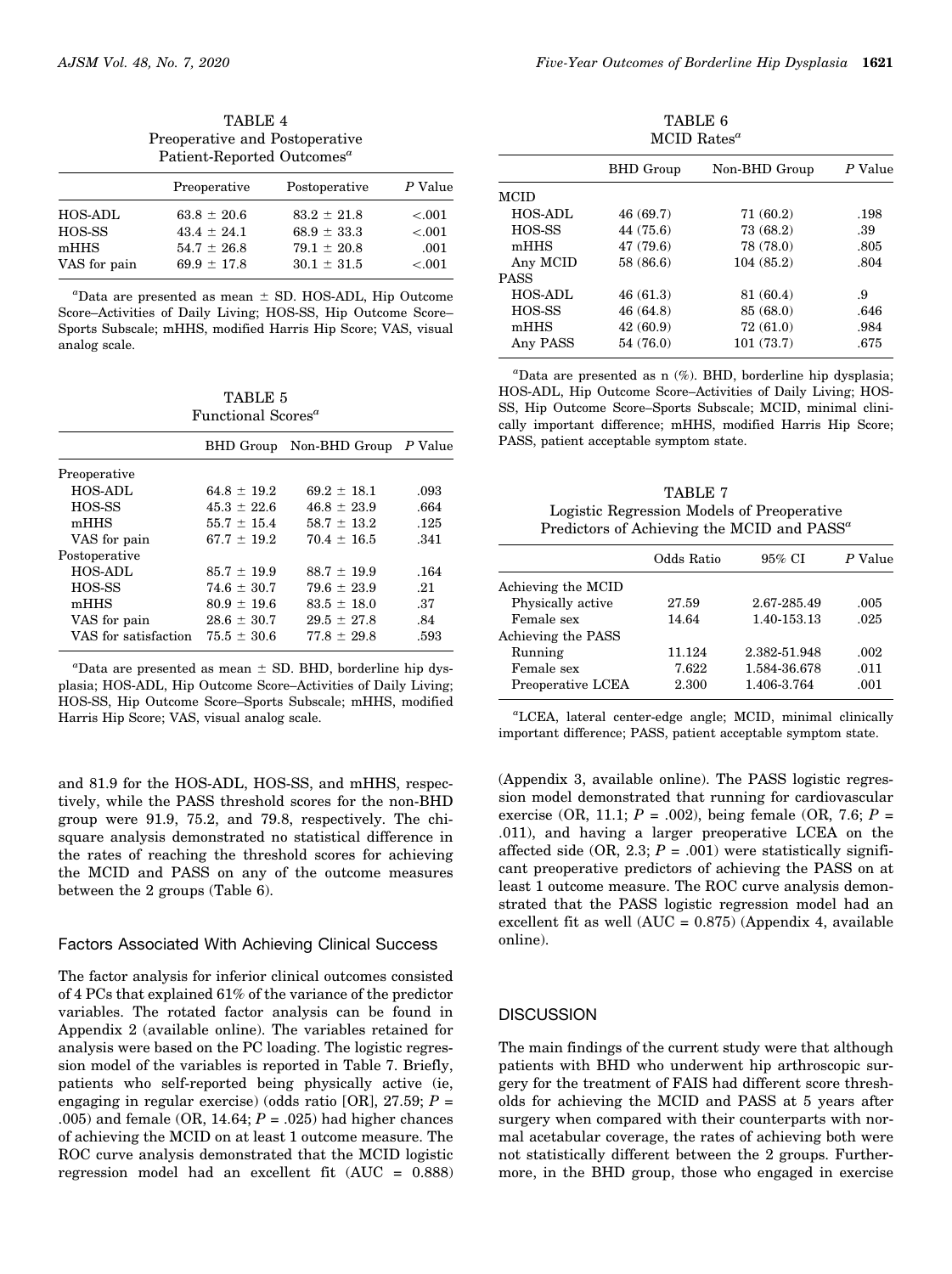| TABLE 4                                |  |  |  |
|----------------------------------------|--|--|--|
| Preoperative and Postoperative         |  |  |  |
| Patient-Reported Outcomes <sup>a</sup> |  |  |  |

| Preoperative    | Postoperative   | P Value   |
|-----------------|-----------------|-----------|
| $63.8 \pm 20.6$ | $83.2 \pm 21.8$ | ${<}.001$ |
| $43.4 \pm 24.1$ | $68.9 \pm 33.3$ | ${<}.001$ |
| $54.7 \pm 26.8$ | $79.1 \pm 20.8$ | .001      |
| $69.9 \pm 17.8$ | $30.1 \pm 31.5$ | ${<}.001$ |
|                 |                 |           |

"Data are presented as mean  $\pm$  SD. HOS-ADL, Hip Outcome Score–Activities of Daily Living; HOS-SS, Hip Outcome Score– Sports Subscale; mHHS, modified Harris Hip Score; VAS, visual analog scale.

TABLE 5 Functional Scores<sup> $a$ </sup>

|                      |                 | BHD Group Non-BHD Group P Value |      |
|----------------------|-----------------|---------------------------------|------|
| Preoperative         |                 |                                 |      |
| <b>HOS-ADL</b>       | $64.8 \pm 19.2$ | $69.2 \pm 18.1$                 | .093 |
| HOS-SS               | $45.3 + 22.6$   | $46.8 \pm 23.9$                 | .664 |
| mHHS                 | $55.7 \pm 15.4$ | $58.7 \pm 13.2$                 | .125 |
| VAS for pain         | $67.7 + 19.2$   | $70.4 \pm 16.5$                 | .341 |
| Postoperative        |                 |                                 |      |
| <b>HOS-ADL</b>       | $85.7 \pm 19.9$ | $88.7 \pm 19.9$                 | .164 |
| HOS-SS               | $74.6 \pm 30.7$ | $79.6 \pm 23.9$                 | .21  |
| mHHS                 | $80.9 \pm 19.6$ | $83.5 \pm 18.0$                 | -37  |
| VAS for pain         | $28.6 \pm 30.7$ | $29.5 \pm 27.8$                 | .84  |
| VAS for satisfaction | $75.5 \pm 30.6$ | $77.8 \pm 29.8$                 | .593 |

"Data are presented as mean  $\pm$  SD. BHD, borderline hip dysplasia; HOS-ADL, Hip Outcome Score–Activities of Daily Living; HOS-SS, Hip Outcome Score–Sports Subscale; mHHS, modified Harris Hip Score; VAS, visual analog scale.

and 81.9 for the HOS-ADL, HOS-SS, and mHHS, respectively, while the PASS threshold scores for the non-BHD group were 91.9, 75.2, and 79.8, respectively. The chisquare analysis demonstrated no statistical difference in the rates of reaching the threshold scores for achieving the MCID and PASS on any of the outcome measures between the 2 groups (Table 6).

#### Factors Associated With Achieving Clinical Success

The factor analysis for inferior clinical outcomes consisted of 4 PCs that explained 61% of the variance of the predictor variables. The rotated factor analysis can be found in Appendix 2 (available online). The variables retained for analysis were based on the PC loading. The logistic regression model of the variables is reported in Table 7. Briefly, patients who self-reported being physically active (ie, engaging in regular exercise) (odds ratio [OR],  $27.59; P =$ .005) and female (OR, 14.64;  $P = .025$ ) had higher chances of achieving the MCID on at least 1 outcome measure. The ROC curve analysis demonstrated that the MCID logistic regression model had an excellent fit (AUC = 0.888)

TABLE 6 MCID Rates<sup> $a$ </sup> BHD Group Non-BHD Group P Value

| 46 (69.7) | 71(60.2)  | .198 |
|-----------|-----------|------|
| 44 (75.6) | 73 (68.2) | .39  |
| 47 (79.6) | 78 (78.0) | .805 |
| 58 (86.6) | 104(85.2) | .804 |
|           |           |      |
| 46(61.3)  | 81 (60.4) | .9   |
| 46(64.8)  | 85 (68.0) | .646 |
| 42(60.9)  | 72(61.0)  | .984 |
| 54 (76.0) | 101(73.7) | .675 |
|           |           |      |

"Data are presented as n  $(\%)$ . BHD, borderline hip dysplasia; HOS-ADL, Hip Outcome Score–Activities of Daily Living; HOS-SS, Hip Outcome Score–Sports Subscale; MCID, minimal clinically important difference; mHHS, modified Harris Hip Score; PASS, patient acceptable symptom state.

TABLE 7 Logistic Regression Models of Preoperative Predictors of Achieving the MCID and  $PASS^a$ 

|                    | Odds Ratio | 95% CI       | P Value |
|--------------------|------------|--------------|---------|
| Achieving the MCID |            |              |         |
| Physically active  | 27.59      | 2.67-285.49  | .005    |
| Female sex         | 14.64      | 1.40-153.13  | .025    |
| Achieving the PASS |            |              |         |
| Running            | 11.124     | 2.382-51.948 | .002    |
| Female sex         | 7.622      | 1.584-36.678 | .011    |
| Preoperative LCEA  | 2.300      | 1.406-3.764  | .001    |

a LCEA, lateral center-edge angle; MCID, minimal clinically important difference; PASS, patient acceptable symptom state.

(Appendix 3, available online). The PASS logistic regression model demonstrated that running for cardiovascular exercise (OR, 11.1;  $P = .002$ ), being female (OR, 7.6;  $P =$ .011), and having a larger preoperative LCEA on the affected side (OR, 2.3;  $P = .001$ ) were statistically significant preoperative predictors of achieving the PASS on at least 1 outcome measure. The ROC curve analysis demonstrated that the PASS logistic regression model had an excellent fit as well  $(AUC = 0.875)$  (Appendix 4, available online).

#### **DISCUSSION**

The main findings of the current study were that although patients with BHD who underwent hip arthroscopic surgery for the treatment of FAIS had different score thresholds for achieving the MCID and PASS at 5 years after surgery when compared with their counterparts with normal acetabular coverage, the rates of achieving both were not statistically different between the 2 groups. Furthermore, in the BHD group, those who engaged in exercise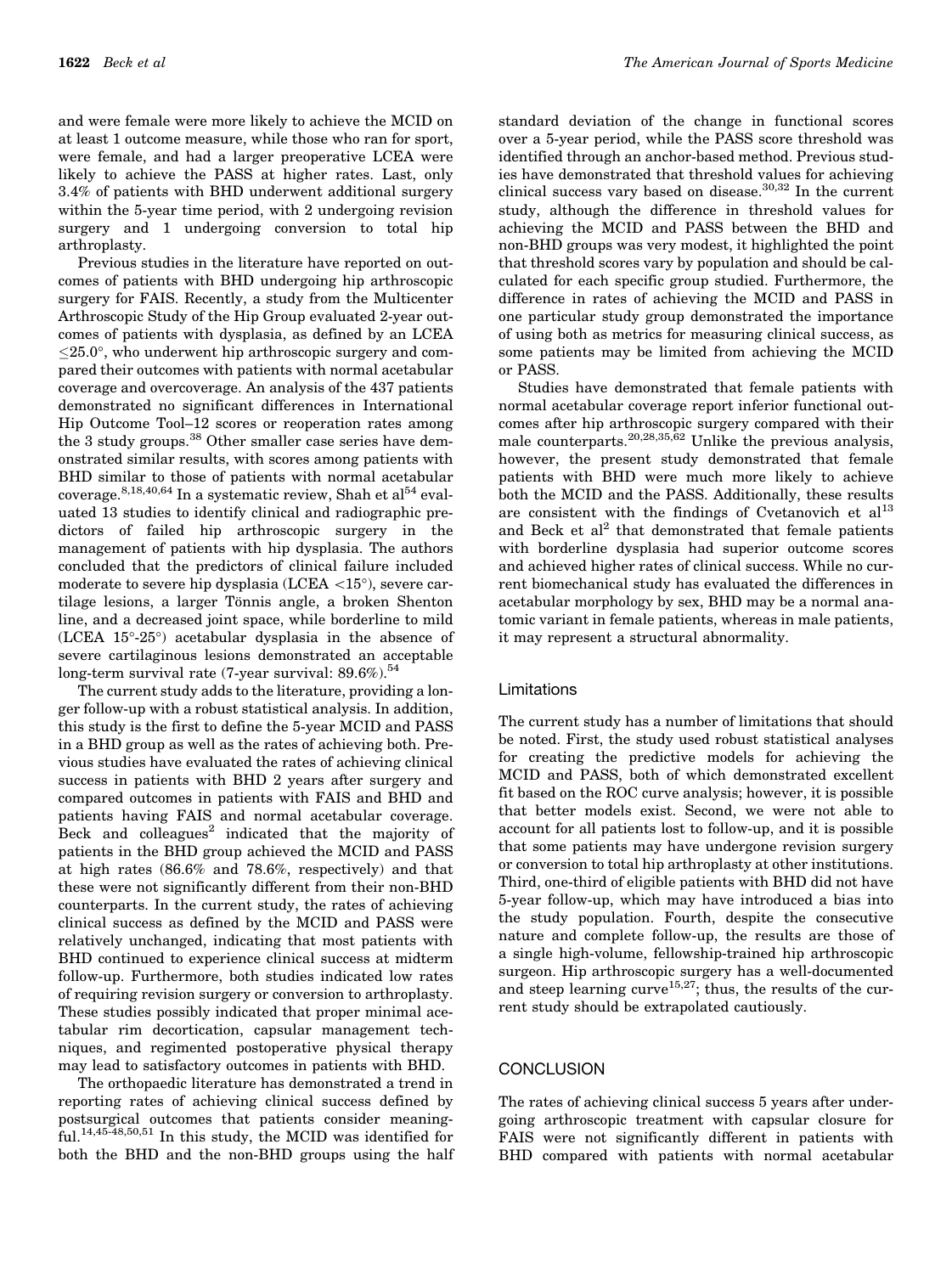and were female were more likely to achieve the MCID on at least 1 outcome measure, while those who ran for sport, were female, and had a larger preoperative LCEA were likely to achieve the PASS at higher rates. Last, only 3.4% of patients with BHD underwent additional surgery within the 5-year time period, with 2 undergoing revision surgery and 1 undergoing conversion to total hip arthroplasty.

Previous studies in the literature have reported on outcomes of patients with BHD undergoing hip arthroscopic surgery for FAIS. Recently, a study from the Multicenter Arthroscopic Study of the Hip Group evaluated 2-year outcomes of patients with dysplasia, as defined by an LCEA  $\leq$ 25.0°, who underwent hip arthroscopic surgery and compared their outcomes with patients with normal acetabular coverage and overcoverage. An analysis of the 437 patients demonstrated no significant differences in International Hip Outcome Tool–12 scores or reoperation rates among the 3 study groups.<sup>38</sup> Other smaller case series have demonstrated similar results, with scores among patients with BHD similar to those of patients with normal acetabular coverage.<sup>8,18,40,64</sup> In a systematic review, Shah et al<sup>54</sup> evaluated 13 studies to identify clinical and radiographic predictors of failed hip arthroscopic surgery in the management of patients with hip dysplasia. The authors concluded that the predictors of clinical failure included moderate to severe hip dysplasia (LCEA  ${<}15^{\circ}$ ), severe cartilage lesions, a larger Tönnis angle, a broken Shenton line, and a decreased joint space, while borderline to mild (LCEA 15--25-) acetabular dysplasia in the absence of severe cartilaginous lesions demonstrated an acceptable long-term survival rate (7-year survival: 89.6%).<sup>54</sup>

The current study adds to the literature, providing a longer follow-up with a robust statistical analysis. In addition, this study is the first to define the 5-year MCID and PASS in a BHD group as well as the rates of achieving both. Previous studies have evaluated the rates of achieving clinical success in patients with BHD 2 years after surgery and compared outcomes in patients with FAIS and BHD and patients having FAIS and normal acetabular coverage. Beck and colleagues<sup>2</sup> indicated that the majority of patients in the BHD group achieved the MCID and PASS at high rates (86.6% and 78.6%, respectively) and that these were not significantly different from their non-BHD counterparts. In the current study, the rates of achieving clinical success as defined by the MCID and PASS were relatively unchanged, indicating that most patients with BHD continued to experience clinical success at midterm follow-up. Furthermore, both studies indicated low rates of requiring revision surgery or conversion to arthroplasty. These studies possibly indicated that proper minimal acetabular rim decortication, capsular management techniques, and regimented postoperative physical therapy may lead to satisfactory outcomes in patients with BHD.

The orthopaedic literature has demonstrated a trend in reporting rates of achieving clinical success defined by postsurgical outcomes that patients consider meaningful.14,45-48,50,51 In this study, the MCID was identified for both the BHD and the non-BHD groups using the half

standard deviation of the change in functional scores over a 5-year period, while the PASS score threshold was identified through an anchor-based method. Previous studies have demonstrated that threshold values for achieving clinical success vary based on disease.<sup>30,32</sup> In the current study, although the difference in threshold values for achieving the MCID and PASS between the BHD and non-BHD groups was very modest, it highlighted the point that threshold scores vary by population and should be calculated for each specific group studied. Furthermore, the difference in rates of achieving the MCID and PASS in one particular study group demonstrated the importance of using both as metrics for measuring clinical success, as some patients may be limited from achieving the MCID or PASS.

Studies have demonstrated that female patients with normal acetabular coverage report inferior functional outcomes after hip arthroscopic surgery compared with their male counterparts.<sup>20,28,35,62</sup> Unlike the previous analysis, however, the present study demonstrated that female patients with BHD were much more likely to achieve both the MCID and the PASS. Additionally, these results are consistent with the findings of Cvetanovich et al<sup>13</sup> and Beck et  $al<sup>2</sup>$  that demonstrated that female patients with borderline dysplasia had superior outcome scores and achieved higher rates of clinical success. While no current biomechanical study has evaluated the differences in acetabular morphology by sex, BHD may be a normal anatomic variant in female patients, whereas in male patients, it may represent a structural abnormality.

#### Limitations

The current study has a number of limitations that should be noted. First, the study used robust statistical analyses for creating the predictive models for achieving the MCID and PASS, both of which demonstrated excellent fit based on the ROC curve analysis; however, it is possible that better models exist. Second, we were not able to account for all patients lost to follow-up, and it is possible that some patients may have undergone revision surgery or conversion to total hip arthroplasty at other institutions. Third, one-third of eligible patients with BHD did not have 5-year follow-up, which may have introduced a bias into the study population. Fourth, despite the consecutive nature and complete follow-up, the results are those of a single high-volume, fellowship-trained hip arthroscopic surgeon. Hip arthroscopic surgery has a well-documented and steep learning curve<sup>15,27</sup>; thus, the results of the current study should be extrapolated cautiously.

#### **CONCLUSION**

The rates of achieving clinical success 5 years after undergoing arthroscopic treatment with capsular closure for FAIS were not significantly different in patients with BHD compared with patients with normal acetabular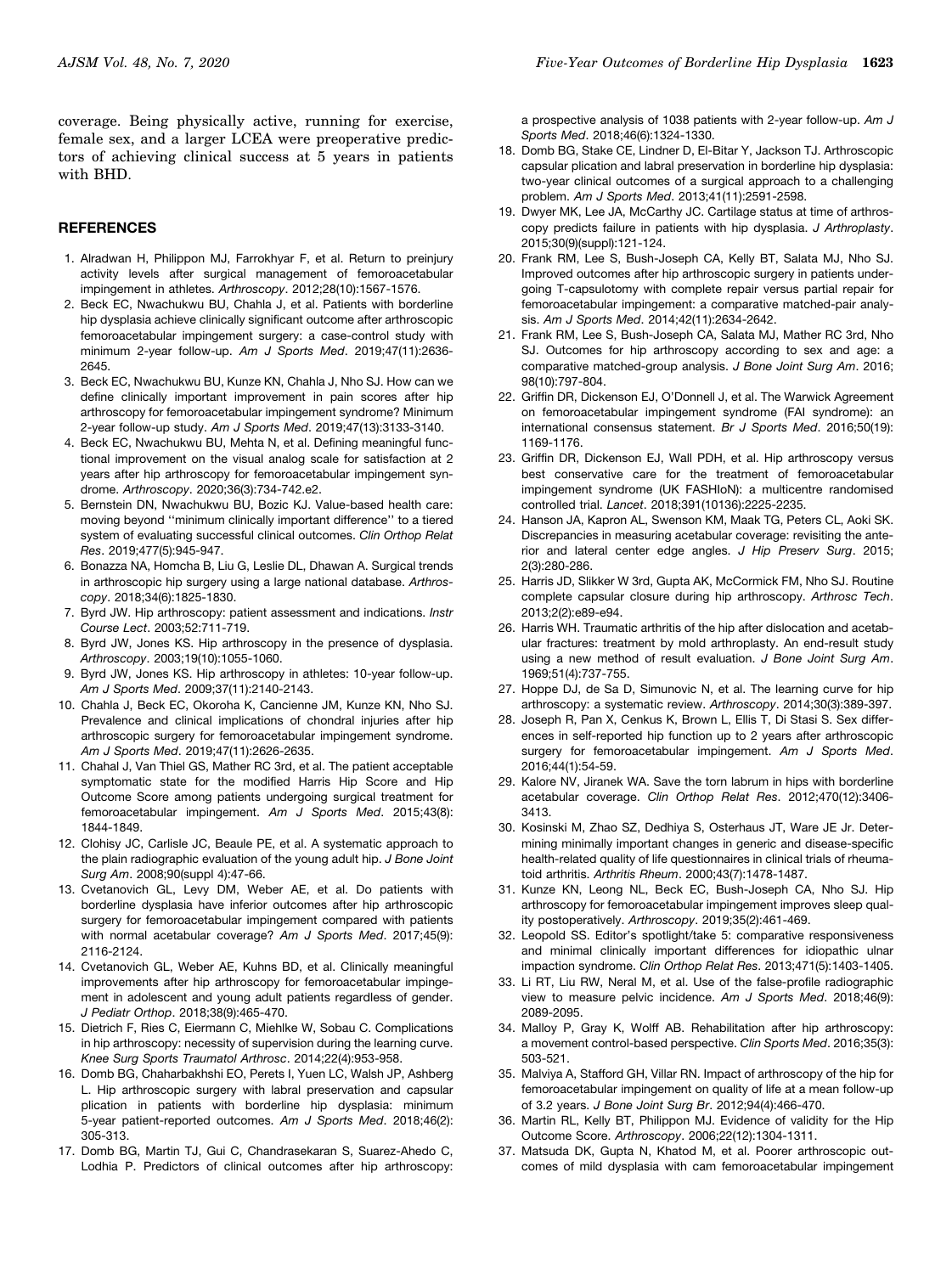coverage. Being physically active, running for exercise, female sex, and a larger LCEA were preoperative predictors of achieving clinical success at 5 years in patients with BHD.

#### **REFERENCES**

- 1. Alradwan H, Philippon MJ, Farrokhyar F, et al. Return to preinjury activity levels after surgical management of femoroacetabular impingement in athletes. *Arthroscopy*. 2012;28(10):1567-1576.
- 2. Beck EC, Nwachukwu BU, Chahla J, et al. Patients with borderline hip dysplasia achieve clinically significant outcome after arthroscopic femoroacetabular impingement surgery: a case-control study with minimum 2-year follow-up. *Am J Sports Med*. 2019;47(11):2636- 2645.
- 3. Beck EC, Nwachukwu BU, Kunze KN, Chahla J, Nho SJ. How can we define clinically important improvement in pain scores after hip arthroscopy for femoroacetabular impingement syndrome? Minimum 2-year follow-up study. *Am J Sports Med*. 2019;47(13):3133-3140.
- 4. Beck EC, Nwachukwu BU, Mehta N, et al. Defining meaningful functional improvement on the visual analog scale for satisfaction at 2 years after hip arthroscopy for femoroacetabular impingement syndrome. *Arthroscopy*. 2020;36(3):734-742.e2.
- 5. Bernstein DN, Nwachukwu BU, Bozic KJ. Value-based health care: moving beyond ''minimum clinically important difference'' to a tiered system of evaluating successful clinical outcomes. *Clin Orthop Relat Res*. 2019;477(5):945-947.
- 6. Bonazza NA, Homcha B, Liu G, Leslie DL, Dhawan A. Surgical trends in arthroscopic hip surgery using a large national database. *Arthroscopy*. 2018;34(6):1825-1830.
- 7. Byrd JW. Hip arthroscopy: patient assessment and indications. *Instr Course Lect*. 2003;52:711-719.
- 8. Byrd JW, Jones KS. Hip arthroscopy in the presence of dysplasia. *Arthroscopy*. 2003;19(10):1055-1060.
- 9. Byrd JW, Jones KS. Hip arthroscopy in athletes: 10-year follow-up. *Am J Sports Med*. 2009;37(11):2140-2143.
- 10. Chahla J, Beck EC, Okoroha K, Cancienne JM, Kunze KN, Nho SJ. Prevalence and clinical implications of chondral injuries after hip arthroscopic surgery for femoroacetabular impingement syndrome. *Am J Sports Med*. 2019;47(11):2626-2635.
- 11. Chahal J, Van Thiel GS, Mather RC 3rd, et al. The patient acceptable symptomatic state for the modified Harris Hip Score and Hip Outcome Score among patients undergoing surgical treatment for femoroacetabular impingement. *Am J Sports Med*. 2015;43(8): 1844-1849.
- 12. Clohisy JC, Carlisle JC, Beaule PE, et al. A systematic approach to the plain radiographic evaluation of the young adult hip. *J Bone Joint Surg Am*. 2008;90(suppl 4):47-66.
- 13. Cvetanovich GL, Levy DM, Weber AE, et al. Do patients with borderline dysplasia have inferior outcomes after hip arthroscopic surgery for femoroacetabular impingement compared with patients with normal acetabular coverage? *Am J Sports Med*. 2017;45(9): 2116-2124.
- 14. Cvetanovich GL, Weber AE, Kuhns BD, et al. Clinically meaningful improvements after hip arthroscopy for femoroacetabular impingement in adolescent and young adult patients regardless of gender. *J Pediatr Orthop*. 2018;38(9):465-470.
- 15. Dietrich F, Ries C, Eiermann C, Miehlke W, Sobau C. Complications in hip arthroscopy: necessity of supervision during the learning curve. *Knee Surg Sports Traumatol Arthrosc*. 2014;22(4):953-958.
- 16. Domb BG, Chaharbakhshi EO, Perets I, Yuen LC, Walsh JP, Ashberg L. Hip arthroscopic surgery with labral preservation and capsular plication in patients with borderline hip dysplasia: minimum 5-year patient-reported outcomes. *Am J Sports Med*. 2018;46(2): 305-313.
- 17. Domb BG, Martin TJ, Gui C, Chandrasekaran S, Suarez-Ahedo C, Lodhia P. Predictors of clinical outcomes after hip arthroscopy:

a prospective analysis of 1038 patients with 2-year follow-up. *Am J Sports Med*. 2018;46(6):1324-1330.

- 18. Domb BG, Stake CE, Lindner D, El-Bitar Y, Jackson TJ. Arthroscopic capsular plication and labral preservation in borderline hip dysplasia: two-year clinical outcomes of a surgical approach to a challenging problem. *Am J Sports Med*. 2013;41(11):2591-2598.
- 19. Dwyer MK, Lee JA, McCarthy JC. Cartilage status at time of arthroscopy predicts failure in patients with hip dysplasia. *J Arthroplasty*. 2015;30(9)(suppl):121-124.
- 20. Frank RM, Lee S, Bush-Joseph CA, Kelly BT, Salata MJ, Nho SJ. Improved outcomes after hip arthroscopic surgery in patients undergoing T-capsulotomy with complete repair versus partial repair for femoroacetabular impingement: a comparative matched-pair analysis. *Am J Sports Med*. 2014;42(11):2634-2642.
- 21. Frank RM, Lee S, Bush-Joseph CA, Salata MJ, Mather RC 3rd, Nho SJ. Outcomes for hip arthroscopy according to sex and age: a comparative matched-group analysis. *J Bone Joint Surg Am*. 2016; 98(10):797-804.
- 22. Griffin DR, Dickenson EJ, O'Donnell J, et al. The Warwick Agreement on femoroacetabular impingement syndrome (FAI syndrome): an international consensus statement. *Br J Sports Med*. 2016;50(19): 1169-1176.
- 23. Griffin DR, Dickenson EJ, Wall PDH, et al. Hip arthroscopy versus best conservative care for the treatment of femoroacetabular impingement syndrome (UK FASHIoN): a multicentre randomised controlled trial. *Lancet*. 2018;391(10136):2225-2235.
- 24. Hanson JA, Kapron AL, Swenson KM, Maak TG, Peters CL, Aoki SK. Discrepancies in measuring acetabular coverage: revisiting the anterior and lateral center edge angles. *J Hip Preserv Surg*. 2015; 2(3):280-286.
- 25. Harris JD, Slikker W 3rd, Gupta AK, McCormick FM, Nho SJ. Routine complete capsular closure during hip arthroscopy. *Arthrosc Tech*. 2013;2(2):e89-e94.
- 26. Harris WH. Traumatic arthritis of the hip after dislocation and acetabular fractures: treatment by mold arthroplasty. An end-result study using a new method of result evaluation. *J Bone Joint Surg Am*. 1969;51(4):737-755.
- 27. Hoppe DJ, de Sa D, Simunovic N, et al. The learning curve for hip arthroscopy: a systematic review. *Arthroscopy*. 2014;30(3):389-397.
- 28. Joseph R, Pan X, Cenkus K, Brown L, Ellis T, Di Stasi S. Sex differences in self-reported hip function up to 2 years after arthroscopic surgery for femoroacetabular impingement. *Am J Sports Med*. 2016;44(1):54-59.
- 29. Kalore NV, Jiranek WA. Save the torn labrum in hips with borderline acetabular coverage. *Clin Orthop Relat Res*. 2012;470(12):3406- 3413.
- 30. Kosinski M, Zhao SZ, Dedhiya S, Osterhaus JT, Ware JE Jr. Determining minimally important changes in generic and disease-specific health-related quality of life questionnaires in clinical trials of rheumatoid arthritis. *Arthritis Rheum*. 2000;43(7):1478-1487.
- 31. Kunze KN, Leong NL, Beck EC, Bush-Joseph CA, Nho SJ. Hip arthroscopy for femoroacetabular impingement improves sleep quality postoperatively. *Arthroscopy*. 2019;35(2):461-469.
- 32. Leopold SS. Editor's spotlight/take 5: comparative responsiveness and minimal clinically important differences for idiopathic ulnar impaction syndrome. *Clin Orthop Relat Res*. 2013;471(5):1403-1405.
- 33. Li RT, Liu RW, Neral M, et al. Use of the false-profile radiographic view to measure pelvic incidence. *Am J Sports Med*. 2018;46(9): 2089-2095.
- 34. Malloy P, Gray K, Wolff AB. Rehabilitation after hip arthroscopy: a movement control-based perspective. *Clin Sports Med*. 2016;35(3): 503-521.
- 35. Malviya A, Stafford GH, Villar RN. Impact of arthroscopy of the hip for femoroacetabular impingement on quality of life at a mean follow-up of 3.2 years. *J Bone Joint Surg Br*. 2012;94(4):466-470.
- 36. Martin RL, Kelly BT, Philippon MJ. Evidence of validity for the Hip Outcome Score. *Arthroscopy*. 2006;22(12):1304-1311.
- 37. Matsuda DK, Gupta N, Khatod M, et al. Poorer arthroscopic outcomes of mild dysplasia with cam femoroacetabular impingement